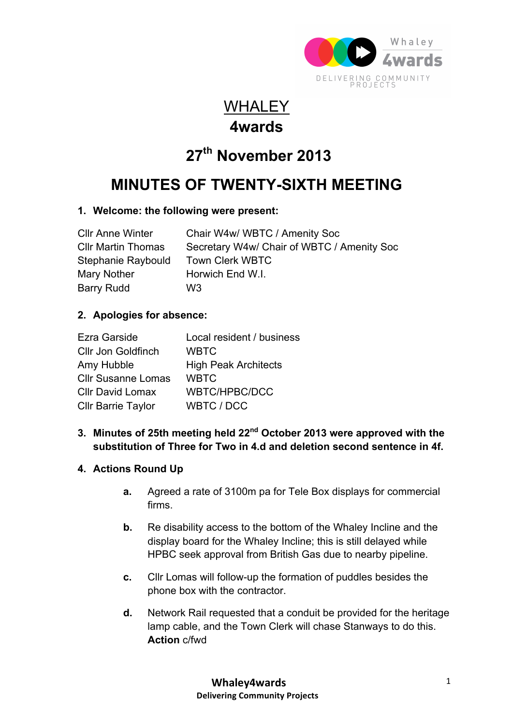

### **WHALEY 4wards**

# **27th November 2013**

## **MINUTES OF TWENTY-SIXTH MEETING**

#### **1. Welcome: the following were present:**

| <b>CIIr Anne Winter</b> | Chair W4w/ WBTC / Amenity Soc              |
|-------------------------|--------------------------------------------|
| Cllr Martin Thomas      | Secretary W4w/ Chair of WBTC / Amenity Soc |
| Stephanie Raybould      | <b>Town Clerk WBTC</b>                     |
| Mary Nother             | Horwich End W.I.                           |
| Barry Rudd              | W3                                         |

#### **2. Apologies for absence:**

| Ezra Garside              | Local resident / business   |
|---------------------------|-----------------------------|
| <b>Cllr Jon Goldfinch</b> | <b>WBTC</b>                 |
| Amy Hubble                | <b>High Peak Architects</b> |
| <b>Cllr Susanne Lomas</b> | <b>WBTC</b>                 |
| <b>Cllr David Lomax</b>   | <b>WBTC/HPBC/DCC</b>        |
| <b>Cllr Barrie Taylor</b> | WBTC / DCC                  |

#### **3. Minutes of 25th meeting held 22nd October 2013 were approved with the substitution of Three for Two in 4.d and deletion second sentence in 4f.**

#### **4. Actions Round Up**

- **a.** Agreed a rate of 3100m pa for Tele Box displays for commercial firms.
- **b.** Re disability access to the bottom of the Whaley Incline and the display board for the Whaley Incline; this is still delayed while HPBC seek approval from British Gas due to nearby pipeline.
- **c.** Cllr Lomas will follow-up the formation of puddles besides the phone box with the contractor.
- **d.** Network Rail requested that a conduit be provided for the heritage lamp cable, and the Town Clerk will chase Stanways to do this. **Action** c/fwd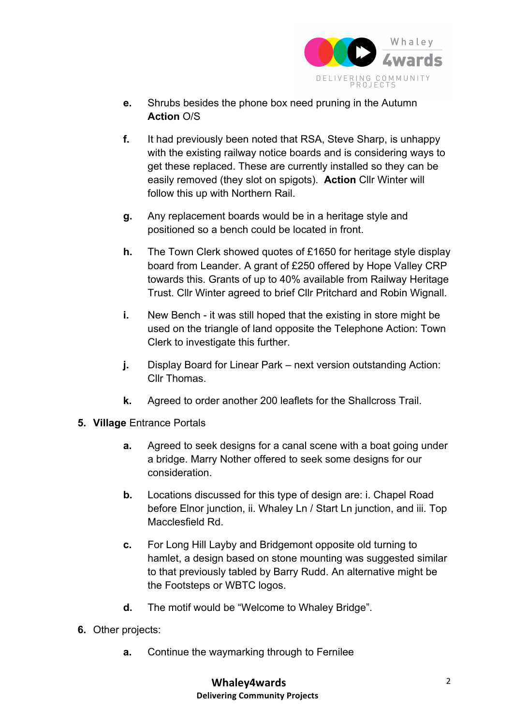

- **e.** Shrubs besides the phone box need pruning in the Autumn **Action** O/S
- **f.** It had previously been noted that RSA, Steve Sharp, is unhappy with the existing railway notice boards and is considering ways to get these replaced. These are currently installed so they can be easily removed (they slot on spigots). **Action** Cllr Winter will follow this up with Northern Rail.
- **g.** Any replacement boards would be in a heritage style and positioned so a bench could be located in front.
- **h.** The Town Clerk showed quotes of £1650 for heritage style display board from Leander. A grant of £250 offered by Hope Valley CRP towards this. Grants of up to 40% available from Railway Heritage Trust. Cllr Winter agreed to brief Cllr Pritchard and Robin Wignall.
- **i.** New Bench it was still hoped that the existing in store might be used on the triangle of land opposite the Telephone Action: Town Clerk to investigate this further.
- **j.** Display Board for Linear Park next version outstanding Action: Cllr Thomas.
- **k.** Agreed to order another 200 leaflets for the Shallcross Trail.
- **5. Village** Entrance Portals
	- **a.** Agreed to seek designs for a canal scene with a boat going under a bridge. Marry Nother offered to seek some designs for our consideration.
	- **b.** Locations discussed for this type of design are: i. Chapel Road before Elnor junction, ii. Whaley Ln / Start Ln junction, and iii. Top Macclesfield Rd.
	- **c.** For Long Hill Layby and Bridgemont opposite old turning to hamlet, a design based on stone mounting was suggested similar to that previously tabled by Barry Rudd. An alternative might be the Footsteps or WBTC logos.
	- **d.** The motif would be "Welcome to Whaley Bridge".
- **6.** Other projects:
	- **a.** Continue the waymarking through to Fernilee